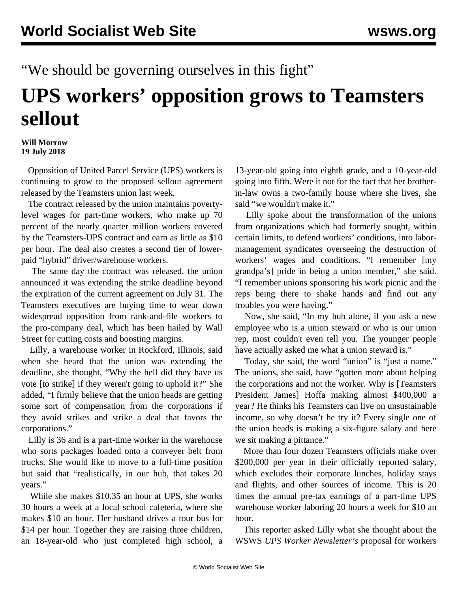"We should be governing ourselves in this fight"

## **UPS workers' opposition grows to Teamsters sellout**

## **Will Morrow 19 July 2018**

 Opposition of United Parcel Service (UPS) workers is continuing to grow to the proposed sellout agreement released by the Teamsters union last week.

 The contract released by the union maintains povertylevel wages for part-time workers, who make up 70 percent of the nearly quarter million workers covered by the Teamsters-UPS contract and earn as little as \$10 per hour. The deal also creates a second tier of lowerpaid "hybrid" driver/warehouse workers.

 The same day the contract was released, the union announced it was extending the strike deadline beyond the expiration of the current agreement on July 31. The Teamsters executives are buying time to wear down widespread opposition from rank-and-file workers to the pro-company deal, which has been hailed by Wall Street for cutting costs and boosting margins.

 Lilly, a warehouse worker in Rockford, Illinois, said when she heard that the union was extending the deadline, she thought, "Why the hell did they have us vote [to strike] if they weren't going to uphold it?" She added, "I firmly believe that the union heads are getting some sort of compensation from the corporations if they avoid strikes and strike a deal that favors the corporations."

 Lilly is 36 and is a part-time worker in the warehouse who sorts packages loaded onto a conveyer belt from trucks. She would like to move to a full-time position but said that "realistically, in our hub, that takes 20 years."

 While she makes \$10.35 an hour at UPS, she works 30 hours a week at a local school cafeteria, where she makes \$10 an hour. Her husband drives a tour bus for \$14 per hour. Together they are raising three children, an 18-year-old who just completed high school, a 13-year-old going into eighth grade, and a 10-year-old going into fifth. Were it not for the fact that her brotherin-law owns a two-family house where she lives, she said "we wouldn't make it."

 Lilly spoke about the transformation of the unions from organizations which had formerly sought, within certain limits, to defend workers' conditions, into labormanagement syndicates overseeing the destruction of workers' wages and conditions. "I remember [my grandpa's] pride in being a union member," she said. "I remember unions sponsoring his work picnic and the reps being there to shake hands and find out any troubles you were having."

 Now, she said, "In my hub alone, if you ask a new employee who is a union steward or who is our union rep, most couldn't even tell you. The younger people have actually asked me what a union steward is."

 Today, she said, the word "union" is "just a name." The unions, she said, have "gotten more about helping the corporations and not the worker. Why is [Teamsters President James] Hoffa making almost \$400,000 a year? He thinks his Teamsters can live on unsustainable income, so why doesn't he try it? Every single one of the union heads is making a six-figure salary and here we sit making a pittance."

 More than four dozen Teamsters officials make over \$200,000 per year in their officially reported salary, which excludes their corporate lunches, holiday stays and flights, and other sources of income. This is 20 times the annual pre-tax earnings of a part-time UPS warehouse worker laboring 20 hours a week for \$10 an hour.

 This reporter asked Lilly what she thought about the WSWS *UPS Worker Newsletter's* proposal for workers